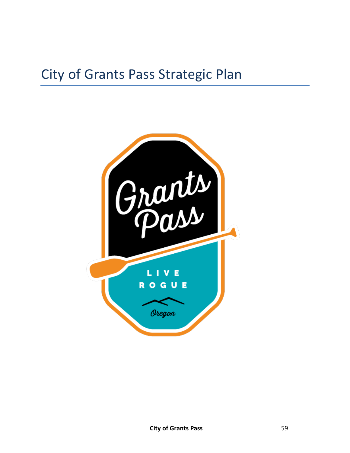# City of Grants Pass Strategic Plan

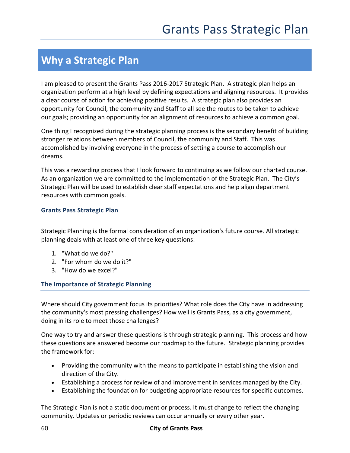# **Why a Strategic Plan**

I am pleased to present the Grants Pass 2016-2017 Strategic Plan. A strategic plan helps an organization perform at a high level by defining expectations and aligning resources. It provides a clear course of action for achieving positive results. A strategic plan also provides an opportunity for Council, the community and Staff to all see the routes to be taken to achieve our goals; providing an opportunity for an alignment of resources to achieve a common goal.

One thing I recognized during the strategic planning process is the secondary benefit of building stronger relations between members of Council, the community and Staff. This was accomplished by involving everyone in the process of setting a course to accomplish our dreams.

This was a rewarding process that I look forward to continuing as we follow our charted course. As an organization we are committed to the implementation of the Strategic Plan. The City's Strategic Plan will be used to establish clear staff expectations and help align department resources with common goals.

#### **Grants Pass Strategic Plan**

Strategic Planning is the formal consideration of an organization's future course. All strategic planning deals with at least one of three key questions:

- 1. "What do we do?"
- 2. "For whom do we do it?"
- 3. "How do we excel?"

#### **The Importance of Strategic Planning**

Where should City government focus its priorities? What role does the City have in addressing the community's most pressing challenges? How well is Grants Pass, as a city government, doing in its role to meet those challenges?

One way to try and answer these questions is through strategic planning. This process and how these questions are answered become our roadmap to the future. Strategic planning provides the framework for:

- Providing the community with the means to participate in establishing the vision and direction of the City.
- Establishing a process for review of and improvement in services managed by the City.
- Establishing the foundation for budgeting appropriate resources for specific outcomes.

The Strategic Plan is not a static document or process. It must change to reflect the changing community. Updates or periodic reviews can occur annually or every other year.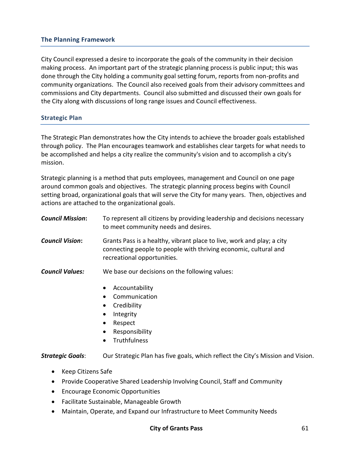#### **The Planning Framework**

City Council expressed a desire to incorporate the goals of the community in their decision making process. An important part of the strategic planning process is public input; this was done through the City holding a community goal setting forum, reports from non-profits and community organizations. The Council also received goals from their advisory committees and commissions and City departments. Council also submitted and discussed their own goals for the City along with discussions of long range issues and Council effectiveness.

#### **Strategic Plan**

The Strategic Plan demonstrates how the City intends to achieve the broader goals established through policy. The Plan encourages teamwork and establishes clear targets for what needs to be accomplished and helps a city realize the community's vision and to accomplish a city's mission.

Strategic planning is a method that puts employees, management and Council on one page around common goals and objectives. The strategic planning process begins with Council setting broad, organizational goals that will serve the City for many years. Then, objectives and actions are attached to the organizational goals.

| <b>Council Mission:</b> | To represent all citizens by providing leadership and decisions necessary<br>to meet community needs and desires.                                                                                                                  |
|-------------------------|------------------------------------------------------------------------------------------------------------------------------------------------------------------------------------------------------------------------------------|
| <b>Council Vision:</b>  | Grants Pass is a healthy, vibrant place to live, work and play; a city<br>connecting people to people with thriving economic, cultural and<br>recreational opportunities.                                                          |
| <b>Council Values:</b>  | We base our decisions on the following values:<br>Accountability<br>$\bullet$<br>Communication<br>Credibility<br>$\bullet$<br>Integrity<br>$\bullet$<br>Respect<br>$\bullet$<br>Responsibility<br>$\bullet$<br><b>Truthfulness</b> |
| <b>Strategic Goals:</b> | Our Strategic Plan has five goals, which reflect the City's Mission and Vision.                                                                                                                                                    |

- Keep Citizens Safe
- Provide Cooperative Shared Leadership Involving Council, Staff and Community
- Encourage Economic Opportunities
- Facilitate Sustainable, Manageable Growth
- Maintain, Operate, and Expand our Infrastructure to Meet Community Needs

#### **City of Grants Pass** 61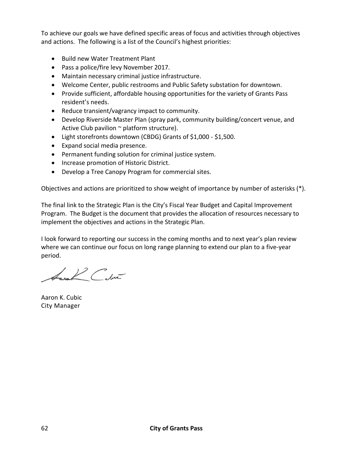To achieve our goals we have defined specific areas of focus and activities through objectives and actions. The following is a list of the Council's highest priorities:

- Build new Water Treatment Plant
- Pass a police/fire levy November 2017.
- Maintain necessary criminal justice infrastructure.
- Welcome Center, public restrooms and Public Safety substation for downtown.
- Provide sufficient, affordable housing opportunities for the variety of Grants Pass resident's needs.
- Reduce transient/vagrancy impact to community.
- Develop Riverside Master Plan (spray park, community building/concert venue, and Active Club pavilion  $\sim$  platform structure).
- Light storefronts downtown (CBDG) Grants of \$1,000 \$1,500.
- Expand social media presence.
- Permanent funding solution for criminal justice system.
- Increase promotion of Historic District.
- Develop a Tree Canopy Program for commercial sites.

Objectives and actions are prioritized to show weight of importance by number of asterisks (\*).

The final link to the Strategic Plan is the City's Fiscal Year Budget and Capital Improvement Program. The Budget is the document that provides the allocation of resources necessary to implement the objectives and actions in the Strategic Plan.

I look forward to reporting our success in the coming months and to next year's plan review where we can continue our focus on long range planning to extend our plan to a five-year period.

Lana L' Cabia

Aaron K. Cubic City Manager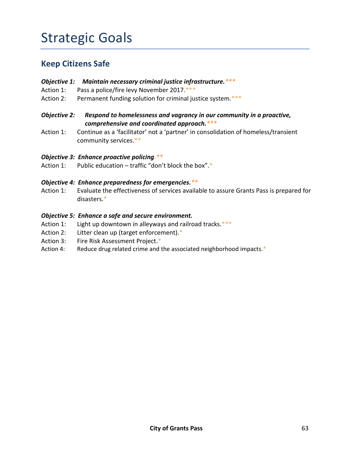# Strategic Goals

### **Keep Citizens Safe**

- *Objective 1: Maintain necessary criminal justice infrastructure.\*\*\**
- Action 1: Pass a police/fire levy November 2017.\*\*\*
- Action 2: Permanent funding solution for criminal justice system.\*\*\*
- *Objective 2: Respond to homelessness and vagrancy in our community in a proactive, comprehensive and coordinated approach.\*\*\**
- Action 1: Continue as a 'facilitator' not a 'partner' in consolidation of homeless/transient community services.\*\*
- *Objective 3: Enhance proactive policing.\*\**
- Action 1: Public education traffic "don't block the box". $*$

#### *Objective 4: Enhance preparedness for emergencies.\*\**

Action 1: Evaluate the effectiveness of services available to assure Grants Pass is prepared for disasters.\*

#### *Objective 5: Enhance a safe and secure environment.*

- Action 1: Light up downtown in alleyways and railroad tracks.\*\*\*
- Action 2: Litter clean up (target enforcement).\*
- Action 3: Fire Risk Assessment Project.\*
- Action 4: Reduce drug related crime and the associated neighborhood impacts.\*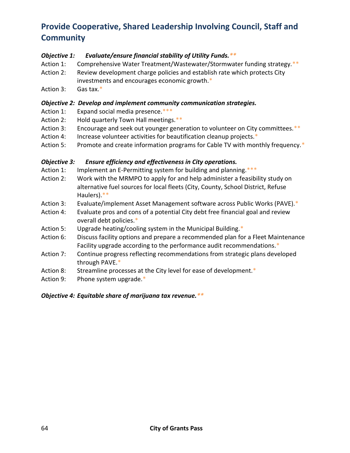## **Provide Cooperative, Shared Leadership Involving Council, Staff and Community**

#### *Objective 1: Evaluate/ensure financial stability of Utility Funds.\*\**

- Action 1: Comprehensive Water Treatment/Wastewater/Stormwater funding strategy.\*\*
- Action 2: Review development charge policies and establish rate which protects City investments and encourages economic growth.\*
- Action 3: Gas tax.\*

#### *Objective 2: Develop and implement community communication strategies.*

- Action 1: Expand social media presence.\*\*\*
- Action 2: Hold quarterly Town Hall meetings.\*\*
- Action 3: Encourage and seek out younger generation to volunteer on City committees.\*\*
- Action 4: Increase volunteer activities for beautification cleanup projects.\*
- Action 5: Promote and create information programs for Cable TV with monthly frequency.\*

#### *Objective 3: Ensure efficiency and effectiveness in City operations.*

- Action 1: Implement an E-Permitting system for building and planning.\*\*\*
- Action 2: Work with the MRMPO to apply for and help administer a feasibility study on alternative fuel sources for local fleets (City, County, School District, Refuse Haulers).\*\*
- Action 3: Evaluate/implement Asset Management software across Public Works (PAVE).\*
- Action 4: Evaluate pros and cons of a potential City debt free financial goal and review overall debt policies.\*
- Action 5: Upgrade heating/cooling system in the Municipal Building.\*
- Action 6: Discuss facility options and prepare a recommended plan for a Fleet Maintenance Facility upgrade according to the performance audit recommendations.\*
- Action 7: Continue progress reflecting recommendations from strategic plans developed through PAVE.\*
- Action 8: Streamline processes at the City level for ease of development.\*
- Action 9: Phone system upgrade.\*

*Objective 4: Equitable share of marijuana tax revenue.\*\**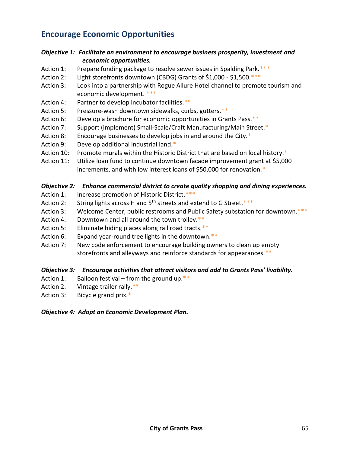### **Encourage Economic Opportunities**

#### *Objective 1: Facilitate an environment to encourage business prosperity, investment and economic opportunities.*

- Action 1: Prepare funding package to resolve sewer issues in Spalding Park.\*\*\*
- Action 2: Light storefronts downtown (CBDG) Grants of \$1,000 \$1,500.\*\*\*
- Action 3: Look into a partnership with Rogue Allure Hotel channel to promote tourism and economic development. \*\*\*
- Action 4: Partner to develop incubator facilities.\*\*
- Action 5: Pressure-wash downtown sidewalks, curbs, gutters.\*\*
- Action 6: Develop a brochure for economic opportunities in Grants Pass.\*\*
- Action 7: Support (implement) Small-Scale/Craft Manufacturing/Main Street.\*
- Action 8: Encourage businesses to develop jobs in and around the City.\*
- Action 9: Develop additional industrial land.\*
- Action 10: Promote murals within the Historic District that are based on local history.\*
- Action 11: Utilize loan fund to continue downtown facade improvement grant at \$5,000 increments, and with low interest loans of \$50,000 for renovation.\*

#### *Objective 2: Enhance commercial district to create quality shopping and dining experiences.*

- Action 1: Increase promotion of Historic District.\*\*\*
- Action 2: String lights across H and  $5<sup>th</sup>$  streets and extend to G Street. \*\*\*
- Action 3: Welcome Center, public restrooms and Public Safety substation for downtown.\*\*\*
- Action 4: Downtown and all around the town trolley. \*\*
- Action 5: Eliminate hiding places along rail road tracts.\*\*
- Action 6: Expand year-round tree lights in the downtown.\*\*
- Action 7: New code enforcement to encourage building owners to clean up empty storefronts and alleyways and reinforce standards for appearances.\*\*

#### *Objective 3: Encourage activities that attract visitors and add to Grants Pass' livability.*

- Action 1: Balloon festival from the ground up. $**$
- Action 2: Vintage trailer rally.\*\*
- Action 3: Bicycle grand prix.\*

#### *Objective 4: Adopt an Economic Development Plan.*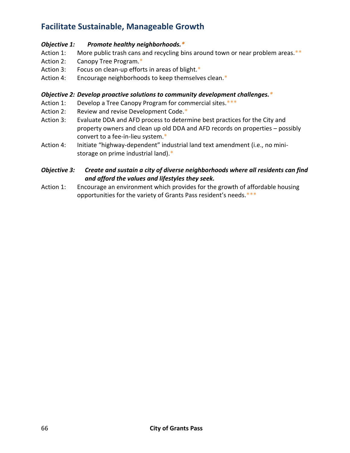## **Facilitate Sustainable, Manageable Growth**

#### *Objective 1: Promote healthy neighborhoods.\**

- Action 1: More public trash cans and recycling bins around town or near problem areas.\*\*
- Action 2: Canopy Tree Program.\*
- Action 3: Focus on clean-up efforts in areas of blight.\*
- Action 4: Encourage neighborhoods to keep themselves clean.\*

#### *Objective 2: Develop proactive solutions to community development challenges.\**

- Action 1: Develop a Tree Canopy Program for commercial sites. \*\*\*
- Action 2: Review and revise Development Code.\*
- Action 3: Evaluate DDA and AFD process to determine best practices for the City and property owners and clean up old DDA and AFD records on properties – possibly convert to a fee-in-lieu system.\*
- Action 4: Initiate "highway-dependent" industrial land text amendment (i.e., no ministorage on prime industrial land).\*

#### *Objective 3: Create and sustain a city of diverse neighborhoods where all residents can find and afford the values and lifestyles they seek.*

Action 1: Encourage an environment which provides for the growth of affordable housing opportunities for the variety of Grants Pass resident's needs.\*\*\*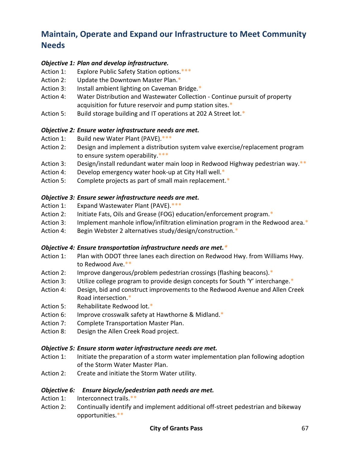## **Maintain, Operate and Expand our Infrastructure to Meet Community Needs**

#### *Objective 1: Plan and develop infrastructure.*

- Action 1: Explore Public Safety Station options.\*\*\*
- Action 2: Update the Downtown Master Plan.\*
- Action 3: Install ambient lighting on Caveman Bridge.\*
- Action 4: Water Distribution and Wastewater Collection Continue pursuit of property acquisition for future reservoir and pump station sites.\*
- Action 5: Build storage building and IT operations at 202 A Street lot.\*

#### *Objective 2: Ensure water infrastructure needs are met.*

- Action 1: Build new Water Plant (PAVE).\*\*\*
- Action 2: Design and implement a distribution system valve exercise/replacement program to ensure system operability.\*\*\*
- Action 3: Design/install redundant water main loop in Redwood Highway pedestrian way.\*\*
- Action 4: Develop emergency water hook-up at City Hall well.\*
- Action 5: Complete projects as part of small main replacement. \*

#### *Objective 3: Ensure sewer infrastructure needs are met.*

- Action 1: Expand Wastewater Plant (PAVE).\*\*\*
- Action 2: Initiate Fats, Oils and Grease (FOG) education/enforcement program.\*
- Action 3: Implement manhole inflow/infiltration elimination program in the Redwood area.\*
- Action 4: Begin Webster 2 alternatives study/design/construction.\*

#### *Objective 4: Ensure transportation infrastructure needs are met.\**

- Action 1: Plan with ODOT three lanes each direction on Redwood Hwy. from Williams Hwy. to Redwood Ave.\*\*
- Action 2: Improve dangerous/problem pedestrian crossings (flashing beacons).\*
- Action 3: Utilize college program to provide design concepts for South 'Y' interchange.\*
- Action 4: Design, bid and construct improvements to the Redwood Avenue and Allen Creek Road intersection.\*
- Action 5: Rehabilitate Redwood lot.\*
- Action 6: Improve crosswalk safety at Hawthorne & Midland.\*
- Action 7: Complete Transportation Master Plan.
- Action 8: Design the Allen Creek Road project.

#### *Objective 5: Ensure storm water infrastructure needs are met.*

- Action 1: Initiate the preparation of a storm water implementation plan following adoption of the Storm Water Master Plan.
- Action 2: Create and initiate the Storm Water utility.

#### *Objective 6: Ensure bicycle/pedestrian path needs are met.*

- Action 1: Interconnect trails.\*\*
- Action 2: Continually identify and implement additional off-street pedestrian and bikeway opportunities.\*\*